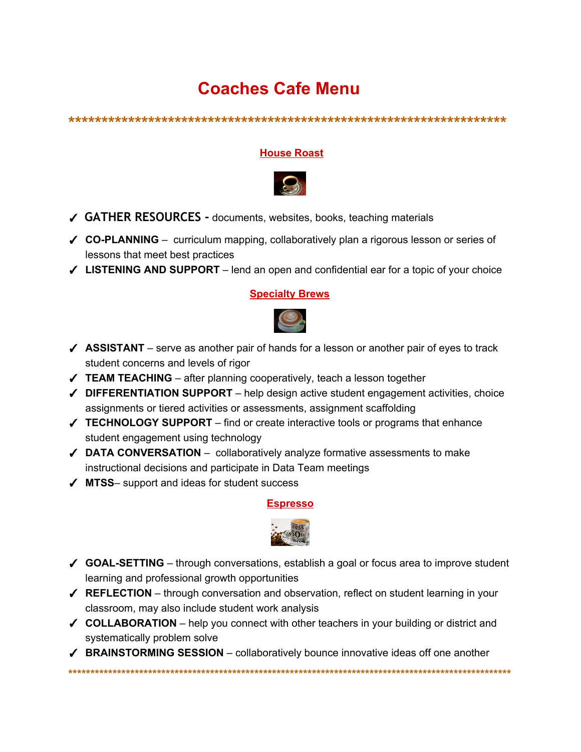## **Coaches Cafe Menu**

## **House Roast**



- $\checkmark$  GATHER RESOURCES documents, websites, books, teaching materials
- √ CO-PLANNING curriculum mapping, collaboratively plan a rigorous lesson or series of lessons that meet best practices
- √ LISTENING AND SUPPORT lend an open and confidential ear for a topic of your choice

## **Specialty Brews**



- $\checkmark$  ASSISTANT serve as another pair of hands for a lesson or another pair of eyes to track student concerns and levels of rigor
- $\checkmark$  TEAM TEACHING after planning cooperatively, teach a lesson together
- $\checkmark$  DIFFERENTIATION SUPPORT help design active student engagement activities, choice assignments or tiered activities or assessments, assignment scaffolding
- √ TECHNOLOGY SUPPORT find or create interactive tools or programs that enhance student engagement using technology
- $\checkmark$  DATA CONVERSATION collaboratively analyze formative assessments to make instructional decisions and participate in Data Team meetings
- $\sqrt{}$  MTSS- support and ideas for student success

## **Espresso**



- √ GOAL-SETTING through conversations, establish a goal or focus area to improve student learning and professional growth opportunities
- $\checkmark$  REFLECTION through conversation and observation, reflect on student learning in your classroom, may also include student work analysis
- $\checkmark$  COLLABORATION help you connect with other teachers in your building or district and systematically problem solve
- ✔ BRAINSTORMING SESSION collaboratively bounce innovative ideas off one another